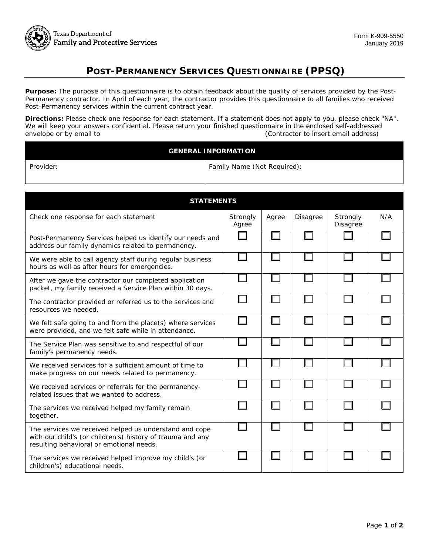

## **POST-PERMANENCY SERVICES QUESTIONNAIRE (PPSQ)**

**Purpose:** The purpose of this questionnaire is to obtain feedback about the quality of services provided by the Post-Permanency contractor. In April of each year, the contractor provides this questionnaire to all families who received Post-Permanency services within the current contract year.

**Directions:** Please check one response for each statement. If a statement does not apply to you, please check "NA". We will keep your answers confidential. Please return your finished questionnaire in the enclosed self-addressed<br>(Contractor to insert email address) (Contractor to insert email address)

## **GENERAL INFORMATION**

Provider: Family Name (Not Required):

| <b>STATEMENTS</b>                                                                                                                                                |                   |       |          |                      |     |
|------------------------------------------------------------------------------------------------------------------------------------------------------------------|-------------------|-------|----------|----------------------|-----|
| Check one response for each statement                                                                                                                            | Strongly<br>Agree | Agree | Disagree | Strongly<br>Disagree | N/A |
| Post-Permanency Services helped us identify our needs and<br>address our family dynamics related to permanency.                                                  |                   |       |          |                      |     |
| We were able to call agency staff during regular business<br>hours as well as after hours for emergencies.                                                       |                   |       |          |                      |     |
| After we gave the contractor our completed application<br>packet, my family received a Service Plan within 30 days.                                              |                   |       |          |                      |     |
| The contractor provided or referred us to the services and<br>resources we needed.                                                                               |                   |       |          |                      |     |
| We felt safe going to and from the place(s) where services<br>were provided, and we felt safe while in attendance.                                               |                   |       |          |                      |     |
| The Service Plan was sensitive to and respectful of our<br>family's permanency needs.                                                                            |                   |       |          |                      |     |
| We received services for a sufficient amount of time to<br>make progress on our needs related to permanency.                                                     |                   |       |          |                      |     |
| We received services or referrals for the permanency-<br>related issues that we wanted to address.                                                               |                   |       |          |                      |     |
| The services we received helped my family remain<br>together.                                                                                                    |                   |       |          |                      |     |
| The services we received helped us understand and cope<br>with our child's (or children's) history of trauma and any<br>resulting behavioral or emotional needs. |                   |       |          |                      |     |
| The services we received helped improve my child's (or<br>children's) educational needs.                                                                         |                   |       |          |                      |     |